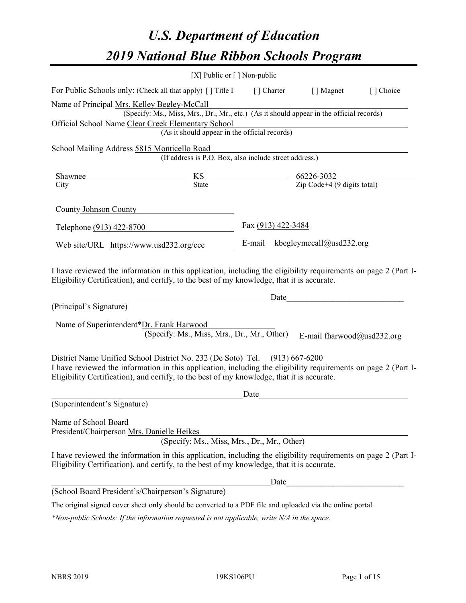# *U.S. Department of Education 2019 National Blue Ribbon Schools Program*

|                                                                                                                                                                                                              | [X] Public or [] Non-public                                                               |                    |      |                                                   |           |
|--------------------------------------------------------------------------------------------------------------------------------------------------------------------------------------------------------------|-------------------------------------------------------------------------------------------|--------------------|------|---------------------------------------------------|-----------|
| For Public Schools only: (Check all that apply) [] Title I                                                                                                                                                   |                                                                                           | [ ] Charter        |      | [ ] Magnet                                        | [] Choice |
| Name of Principal Mrs. Kelley Begley-McCall                                                                                                                                                                  |                                                                                           |                    |      |                                                   |           |
|                                                                                                                                                                                                              | (Specify: Ms., Miss, Mrs., Dr., Mr., etc.) (As it should appear in the official records)  |                    |      |                                                   |           |
| Official School Name Clear Creek Elementary School                                                                                                                                                           | (As it should appear in the official records)                                             |                    |      |                                                   |           |
|                                                                                                                                                                                                              |                                                                                           |                    |      |                                                   |           |
| School Mailing Address 5815 Monticello Road                                                                                                                                                                  | (If address is P.O. Box, also include street address.)                                    |                    |      |                                                   |           |
| Shawnee                                                                                                                                                                                                      | $\frac{KS}{\text{State}}$ $\frac{66226-3032}{\text{Zip Code}+4 (9 \text{ digits total})}$ |                    |      |                                                   |           |
| City                                                                                                                                                                                                         |                                                                                           |                    |      |                                                   |           |
| County Johnson County                                                                                                                                                                                        |                                                                                           |                    |      |                                                   |           |
| Telephone (913) 422-8700                                                                                                                                                                                     |                                                                                           | Fax (913) 422-3484 |      |                                                   |           |
| Web site/URL https://www.usd232.org/cce                                                                                                                                                                      |                                                                                           |                    |      | E-mail kbegleymccall@usd232.org                   |           |
| Eligibility Certification), and certify, to the best of my knowledge, that it is accurate.<br>(Principal's Signature)<br>Name of Superintendent*Dr. Frank Harwood                                            | <u>Date</u>                                                                               |                    |      |                                                   |           |
|                                                                                                                                                                                                              | (Specify: Ms., Miss, Mrs., Dr., Mr., Other)                                               |                    |      | E-mail fharwood@usd232.org                        |           |
| District Name Unified School District No. 232 (De Soto) Tel. (913) 667-6200                                                                                                                                  |                                                                                           |                    |      |                                                   |           |
| I have reviewed the information in this application, including the eligibility requirements on page 2 (Part I-<br>Eligibility Certification), and certify, to the best of my knowledge, that it is accurate. |                                                                                           |                    |      |                                                   |           |
|                                                                                                                                                                                                              |                                                                                           | Date               |      |                                                   |           |
| (Superintendent's Signature)                                                                                                                                                                                 |                                                                                           |                    |      |                                                   |           |
| Name of School Board<br>President/Chairperson Mrs. Danielle Heikes                                                                                                                                           | (Specify: Ms., Miss, Mrs., Dr., Mr., Other)                                               |                    |      |                                                   |           |
| I have reviewed the information in this application, including the eligibility requirements on page 2 (Part I-<br>Eligibility Certification), and certify, to the best of my knowledge, that it is accurate. |                                                                                           |                    |      |                                                   |           |
|                                                                                                                                                                                                              |                                                                                           |                    | Date | <u> 1980 - Johann Barbara, martxa alemaniar a</u> |           |
| (School Board President's/Chairperson's Signature)                                                                                                                                                           |                                                                                           |                    |      |                                                   |           |
| The original signed cover sheet only should be converted to a PDF file and uploaded via the online portal.                                                                                                   |                                                                                           |                    |      |                                                   |           |

*\*Non-public Schools: If the information requested is not applicable, write N/A in the space.*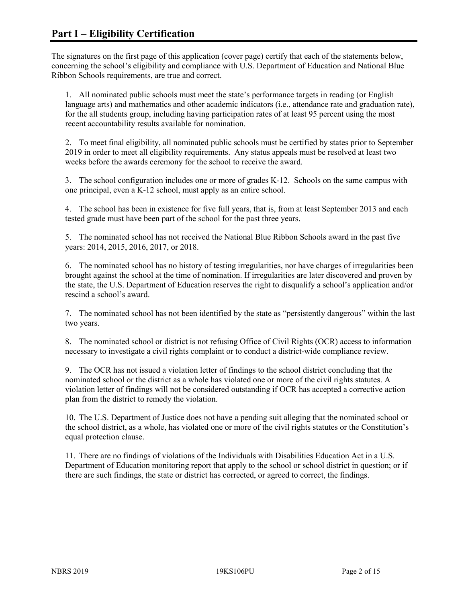The signatures on the first page of this application (cover page) certify that each of the statements below, concerning the school's eligibility and compliance with U.S. Department of Education and National Blue Ribbon Schools requirements, are true and correct.

1. All nominated public schools must meet the state's performance targets in reading (or English language arts) and mathematics and other academic indicators (i.e., attendance rate and graduation rate), for the all students group, including having participation rates of at least 95 percent using the most recent accountability results available for nomination.

2. To meet final eligibility, all nominated public schools must be certified by states prior to September 2019 in order to meet all eligibility requirements. Any status appeals must be resolved at least two weeks before the awards ceremony for the school to receive the award.

3. The school configuration includes one or more of grades K-12. Schools on the same campus with one principal, even a K-12 school, must apply as an entire school.

4. The school has been in existence for five full years, that is, from at least September 2013 and each tested grade must have been part of the school for the past three years.

5. The nominated school has not received the National Blue Ribbon Schools award in the past five years: 2014, 2015, 2016, 2017, or 2018.

6. The nominated school has no history of testing irregularities, nor have charges of irregularities been brought against the school at the time of nomination. If irregularities are later discovered and proven by the state, the U.S. Department of Education reserves the right to disqualify a school's application and/or rescind a school's award.

7. The nominated school has not been identified by the state as "persistently dangerous" within the last two years.

8. The nominated school or district is not refusing Office of Civil Rights (OCR) access to information necessary to investigate a civil rights complaint or to conduct a district-wide compliance review.

9. The OCR has not issued a violation letter of findings to the school district concluding that the nominated school or the district as a whole has violated one or more of the civil rights statutes. A violation letter of findings will not be considered outstanding if OCR has accepted a corrective action plan from the district to remedy the violation.

10. The U.S. Department of Justice does not have a pending suit alleging that the nominated school or the school district, as a whole, has violated one or more of the civil rights statutes or the Constitution's equal protection clause.

11. There are no findings of violations of the Individuals with Disabilities Education Act in a U.S. Department of Education monitoring report that apply to the school or school district in question; or if there are such findings, the state or district has corrected, or agreed to correct, the findings.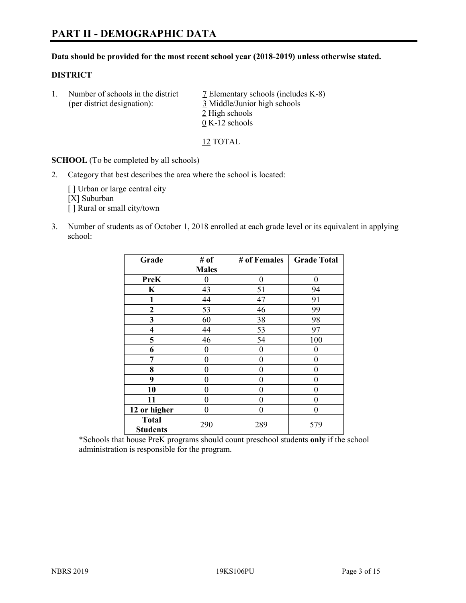#### **Data should be provided for the most recent school year (2018-2019) unless otherwise stated.**

#### **DISTRICT**

1. Number of schools in the district  $\overline{7}$  Elementary schools (includes K-8) (per district designation): 3 Middle/Junior high schools 2 High schools 0 K-12 schools

12 TOTAL

**SCHOOL** (To be completed by all schools)

2. Category that best describes the area where the school is located:

[ ] Urban or large central city [X] Suburban [] Rural or small city/town

3. Number of students as of October 1, 2018 enrolled at each grade level or its equivalent in applying school:

| Grade                   | # of         | # of Females | <b>Grade Total</b> |
|-------------------------|--------------|--------------|--------------------|
|                         | <b>Males</b> |              |                    |
| <b>PreK</b>             | 0            | $\theta$     | 0                  |
| $\mathbf K$             | 43           | 51           | 94                 |
| 1                       | 44           | 47           | 91                 |
| 2                       | 53           | 46           | 99                 |
| 3                       | 60           | 38           | 98                 |
| $\overline{\mathbf{4}}$ | 44           | 53           | 97                 |
| 5                       | 46           | 54           | 100                |
| 6                       | 0            | $\theta$     | 0                  |
| 7                       | 0            | $\theta$     | 0                  |
| 8                       | 0            | $\theta$     | 0                  |
| 9                       | 0            | $\theta$     | 0                  |
| 10                      | 0            | $\theta$     | 0                  |
| 11                      | $\theta$     | 0            | 0                  |
| 12 or higher            | 0            | 0            | 0                  |
| <b>Total</b>            | 290          | 289          | 579                |
| <b>Students</b>         |              |              |                    |

\*Schools that house PreK programs should count preschool students **only** if the school administration is responsible for the program.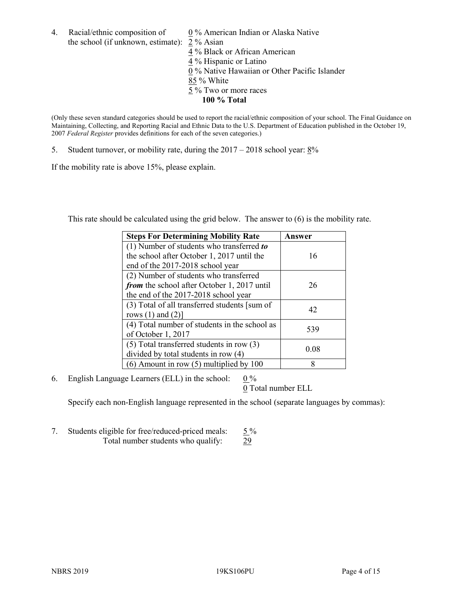4. Racial/ethnic composition of  $0\%$  American Indian or Alaska Native the school (if unknown, estimate): 2 % Asian

 % Black or African American % Hispanic or Latino % Native Hawaiian or Other Pacific Islander 85 % White % Two or more races **100 % Total**

(Only these seven standard categories should be used to report the racial/ethnic composition of your school. The Final Guidance on Maintaining, Collecting, and Reporting Racial and Ethnic Data to the U.S. Department of Education published in the October 19, 2007 *Federal Register* provides definitions for each of the seven categories.)

5. Student turnover, or mobility rate, during the 2017 – 2018 school year: 8%

If the mobility rate is above 15%, please explain.

This rate should be calculated using the grid below. The answer to (6) is the mobility rate.

| <b>Steps For Determining Mobility Rate</b>    | Answer |
|-----------------------------------------------|--------|
| (1) Number of students who transferred to     |        |
| the school after October 1, 2017 until the    | 16     |
| end of the 2017-2018 school year              |        |
| (2) Number of students who transferred        |        |
| from the school after October 1, 2017 until   | 26     |
| the end of the 2017-2018 school year          |        |
| (3) Total of all transferred students [sum of | 42     |
| rows $(1)$ and $(2)$ ]                        |        |
| (4) Total number of students in the school as |        |
| of October 1, 2017                            | 539    |
| $(5)$ Total transferred students in row $(3)$ |        |
| divided by total students in row (4)          | 0.08   |
| $(6)$ Amount in row $(5)$ multiplied by 100   | 8      |

6. English Language Learners (ELL) in the school:  $0\%$ 

0 Total number ELL

Specify each non-English language represented in the school (separate languages by commas):

7. Students eligible for free/reduced-priced meals:  $5\%$ Total number students who qualify: 29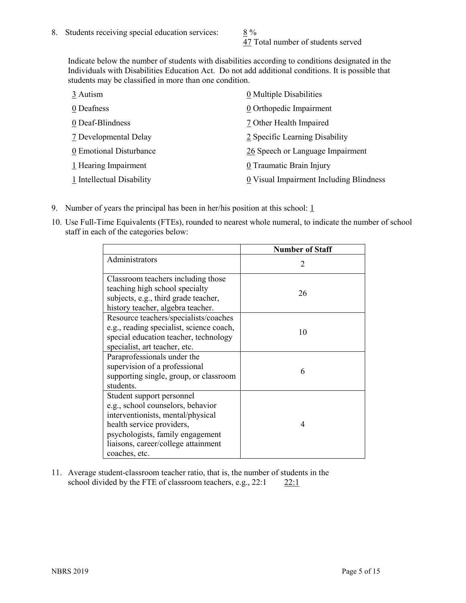47 Total number of students served

Indicate below the number of students with disabilities according to conditions designated in the Individuals with Disabilities Education Act. Do not add additional conditions. It is possible that students may be classified in more than one condition.

| 3 Autism                  | 0 Multiple Disabilities                 |
|---------------------------|-----------------------------------------|
| 0 Deafness                | 0 Orthopedic Impairment                 |
| 0 Deaf-Blindness          | 7 Other Health Impaired                 |
| 7 Developmental Delay     | 2 Specific Learning Disability          |
| 0 Emotional Disturbance   | 26 Speech or Language Impairment        |
| 1 Hearing Impairment      | 0 Traumatic Brain Injury                |
| 1 Intellectual Disability | 0 Visual Impairment Including Blindness |

- 9. Number of years the principal has been in her/his position at this school:  $1$
- 10. Use Full-Time Equivalents (FTEs), rounded to nearest whole numeral, to indicate the number of school staff in each of the categories below:

|                                                                                                                                                                                                                              | <b>Number of Staff</b>      |
|------------------------------------------------------------------------------------------------------------------------------------------------------------------------------------------------------------------------------|-----------------------------|
| Administrators                                                                                                                                                                                                               | $\mathcal{D}_{\mathcal{A}}$ |
| Classroom teachers including those<br>teaching high school specialty<br>subjects, e.g., third grade teacher,<br>history teacher, algebra teacher.                                                                            | 26                          |
| Resource teachers/specialists/coaches<br>e.g., reading specialist, science coach,<br>special education teacher, technology<br>specialist, art teacher, etc.                                                                  | 10                          |
| Paraprofessionals under the<br>supervision of a professional<br>supporting single, group, or classroom<br>students.                                                                                                          | 6                           |
| Student support personnel<br>e.g., school counselors, behavior<br>interventionists, mental/physical<br>health service providers,<br>psychologists, family engagement<br>liaisons, career/college attainment<br>coaches, etc. | 4                           |

11. Average student-classroom teacher ratio, that is, the number of students in the school divided by the FTE of classroom teachers, e.g.,  $22:1$  22:1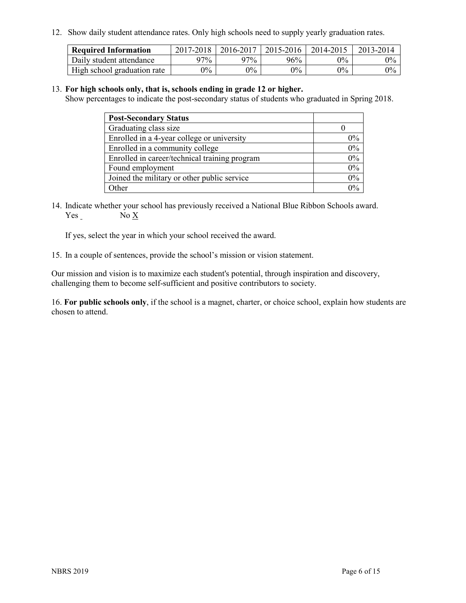12. Show daily student attendance rates. Only high schools need to supply yearly graduation rates.

| <b>Required Information</b> | 2017-2018 | 2016-2017 | 2015-2016 | 2014-2015 | 2013-2014 |
|-----------------------------|-----------|-----------|-----------|-----------|-----------|
| Daily student attendance    | 97%       | $97\%$    | 96%       | $0\%$     | $0\%$     |
| High school graduation rate | $0\%$     | $0\%$     | $0\%$     | $0\%$     | $0\%$     |

#### 13. **For high schools only, that is, schools ending in grade 12 or higher.**

Show percentages to indicate the post-secondary status of students who graduated in Spring 2018.

| <b>Post-Secondary Status</b>                  |       |
|-----------------------------------------------|-------|
| Graduating class size                         |       |
| Enrolled in a 4-year college or university    | $0\%$ |
| Enrolled in a community college               | 0%    |
| Enrolled in career/technical training program | 0%    |
| Found employment                              | 0%    |
| Joined the military or other public service   | 0%    |
| Other                                         | $0\%$ |

14. Indicate whether your school has previously received a National Blue Ribbon Schools award. Yes No X

If yes, select the year in which your school received the award.

15. In a couple of sentences, provide the school's mission or vision statement.

Our mission and vision is to maximize each student's potential, through inspiration and discovery, challenging them to become self-sufficient and positive contributors to society.

16. **For public schools only**, if the school is a magnet, charter, or choice school, explain how students are chosen to attend.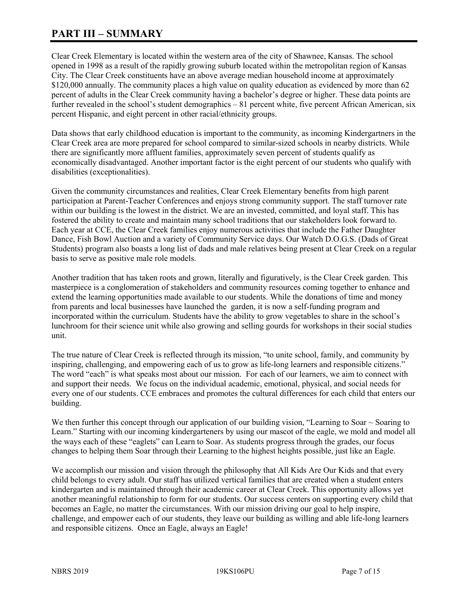## **PART III – SUMMARY**

Clear Creek Elementary is located within the western area of the city of Shawnee, Kansas. The school opened in 1998 as a result of the rapidly growing suburb located within the metropolitan region of Kansas City. The Clear Creek constituents have an above average median household income at approximately \$120,000 annually. The community places a high value on quality education as evidenced by more than 62 percent of adults in the Clear Creek community having a bachelor's degree or higher. These data points are further revealed in the school's student demographics – 81 percent white, five percent African American, six percent Hispanic, and eight percent in other racial/ethnicity groups.

Data shows that early childhood education is important to the community, as incoming Kindergartners in the Clear Creek area are more prepared for school compared to similar-sized schools in nearby districts. While there are significantly more affluent families, approximately seven percent of students qualify as economically disadvantaged. Another important factor is the eight percent of our students who qualify with disabilities (exceptionalities).

Given the community circumstances and realities, Clear Creek Elementary benefits from high parent participation at Parent-Teacher Conferences and enjoys strong community support. The staff turnover rate within our building is the lowest in the district. We are an invested, committed, and loyal staff. This has fostered the ability to create and maintain many school traditions that our stakeholders look forward to. Each year at CCE, the Clear Creek families enjoy numerous activities that include the Father Daughter Dance, Fish Bowl Auction and a variety of Community Service days. Our Watch D.O.G.S. (Dads of Great Students) program also boasts a long list of dads and male relatives being present at Clear Creek on a regular basis to serve as positive male role models.

Another tradition that has taken roots and grown, literally and figuratively, is the Clear Creek garden. This masterpiece is a conglomeration of stakeholders and community resources coming together to enhance and extend the learning opportunities made available to our students. While the donations of time and money from parents and local businesses have launched the garden, it is now a self-funding program and incorporated within the curriculum. Students have the ability to grow vegetables to share in the school's lunchroom for their science unit while also growing and selling gourds for workshops in their social studies unit.

The true nature of Clear Creek is reflected through its mission, "to unite school, family, and community by inspiring, challenging, and empowering each of us to grow as life-long learners and responsible citizens." The word "each" is what speaks most about our mission. For each of our learners, we aim to connect with and support their needs. We focus on the individual academic, emotional, physical, and social needs for every one of our students. CCE embraces and promotes the cultural differences for each child that enters our building.

We then further this concept through our application of our building vision, "Learning to Soar  $\sim$  Soaring to Learn." Starting with our incoming kindergarteners by using our mascot of the eagle, we mold and model all the ways each of these "eaglets" can Learn to Soar. As students progress through the grades, our focus changes to helping them Soar through their Learning to the highest heights possible, just like an Eagle.

We accomplish our mission and vision through the philosophy that All Kids Are Our Kids and that every child belongs to every adult. Our staff has utilized vertical families that are created when a student enters kindergarten and is maintained through their academic career at Clear Creek. This opportunity allows yet another meaningful relationship to form for our students. Our success centers on supporting every child that becomes an Eagle, no matter the circumstances. With our mission driving our goal to help inspire, challenge, and empower each of our students, they leave our building as willing and able life-long learners and responsible citizens. Once an Eagle, always an Eagle!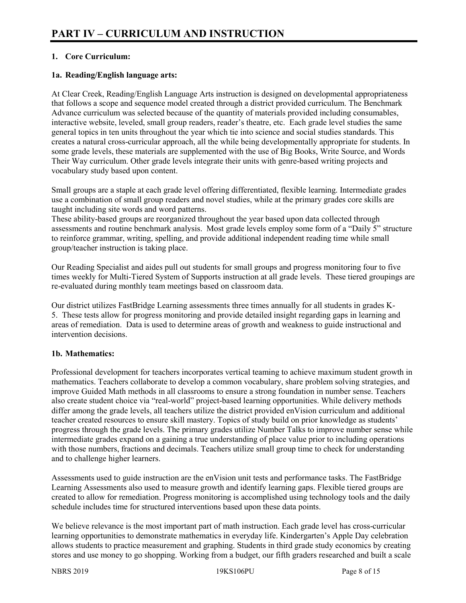### **1. Core Curriculum:**

#### **1a. Reading/English language arts:**

At Clear Creek, Reading/English Language Arts instruction is designed on developmental appropriateness that follows a scope and sequence model created through a district provided curriculum. The Benchmark Advance curriculum was selected because of the quantity of materials provided including consumables, interactive website, leveled, small group readers, reader's theatre, etc. Each grade level studies the same general topics in ten units throughout the year which tie into science and social studies standards. This creates a natural cross-curricular approach, all the while being developmentally appropriate for students. In some grade levels, these materials are supplemented with the use of Big Books, Write Source, and Words Their Way curriculum. Other grade levels integrate their units with genre-based writing projects and vocabulary study based upon content.

Small groups are a staple at each grade level offering differentiated, flexible learning. Intermediate grades use a combination of small group readers and novel studies, while at the primary grades core skills are taught including site words and word patterns.

These ability-based groups are reorganized throughout the year based upon data collected through assessments and routine benchmark analysis. Most grade levels employ some form of a "Daily 5" structure to reinforce grammar, writing, spelling, and provide additional independent reading time while small group/teacher instruction is taking place.

Our Reading Specialist and aides pull out students for small groups and progress monitoring four to five times weekly for Multi-Tiered System of Supports instruction at all grade levels. These tiered groupings are re-evaluated during monthly team meetings based on classroom data.

Our district utilizes FastBridge Learning assessments three times annually for all students in grades K-5. These tests allow for progress monitoring and provide detailed insight regarding gaps in learning and areas of remediation. Data is used to determine areas of growth and weakness to guide instructional and intervention decisions.

#### **1b. Mathematics:**

Professional development for teachers incorporates vertical teaming to achieve maximum student growth in mathematics. Teachers collaborate to develop a common vocabulary, share problem solving strategies, and improve Guided Math methods in all classrooms to ensure a strong foundation in number sense. Teachers also create student choice via "real-world" project-based learning opportunities. While delivery methods differ among the grade levels, all teachers utilize the district provided enVision curriculum and additional teacher created resources to ensure skill mastery. Topics of study build on prior knowledge as students' progress through the grade levels. The primary grades utilize Number Talks to improve number sense while intermediate grades expand on a gaining a true understanding of place value prior to including operations with those numbers, fractions and decimals. Teachers utilize small group time to check for understanding and to challenge higher learners.

Assessments used to guide instruction are the enVision unit tests and performance tasks. The FastBridge Learning Assessments also used to measure growth and identify learning gaps. Flexible tiered groups are created to allow for remediation. Progress monitoring is accomplished using technology tools and the daily schedule includes time for structured interventions based upon these data points.

We believe relevance is the most important part of math instruction. Each grade level has cross-curricular learning opportunities to demonstrate mathematics in everyday life. Kindergarten's Apple Day celebration allows students to practice measurement and graphing. Students in third grade study economics by creating stores and use money to go shopping. Working from a budget, our fifth graders researched and built a scale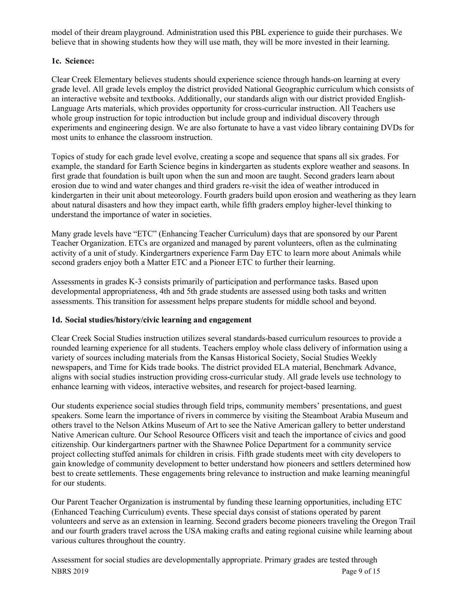model of their dream playground. Administration used this PBL experience to guide their purchases. We believe that in showing students how they will use math, they will be more invested in their learning.

### **1c. Science:**

Clear Creek Elementary believes students should experience science through hands-on learning at every grade level. All grade levels employ the district provided National Geographic curriculum which consists of an interactive website and textbooks. Additionally, our standards align with our district provided English-Language Arts materials, which provides opportunity for cross-curricular instruction. All Teachers use whole group instruction for topic introduction but include group and individual discovery through experiments and engineering design. We are also fortunate to have a vast video library containing DVDs for most units to enhance the classroom instruction.

Topics of study for each grade level evolve, creating a scope and sequence that spans all six grades. For example, the standard for Earth Science begins in kindergarten as students explore weather and seasons. In first grade that foundation is built upon when the sun and moon are taught. Second graders learn about erosion due to wind and water changes and third graders re-visit the idea of weather introduced in kindergarten in their unit about meteorology. Fourth graders build upon erosion and weathering as they learn about natural disasters and how they impact earth, while fifth graders employ higher-level thinking to understand the importance of water in societies.

Many grade levels have "ETC" (Enhancing Teacher Curriculum) days that are sponsored by our Parent Teacher Organization. ETCs are organized and managed by parent volunteers, often as the culminating activity of a unit of study. Kindergartners experience Farm Day ETC to learn more about Animals while second graders enjoy both a Matter ETC and a Pioneer ETC to further their learning.

Assessments in grades K-3 consists primarily of participation and performance tasks. Based upon developmental appropriateness, 4th and 5th grade students are assessed using both tasks and written assessments. This transition for assessment helps prepare students for middle school and beyond.

#### **1d. Social studies/history/civic learning and engagement**

Clear Creek Social Studies instruction utilizes several standards-based curriculum resources to provide a rounded learning experience for all students. Teachers employ whole class delivery of information using a variety of sources including materials from the Kansas Historical Society, Social Studies Weekly newspapers, and Time for Kids trade books. The district provided ELA material, Benchmark Advance, aligns with social studies instruction providing cross-curricular study. All grade levels use technology to enhance learning with videos, interactive websites, and research for project-based learning.

Our students experience social studies through field trips, community members' presentations, and guest speakers. Some learn the importance of rivers in commerce by visiting the Steamboat Arabia Museum and others travel to the Nelson Atkins Museum of Art to see the Native American gallery to better understand Native American culture. Our School Resource Officers visit and teach the importance of civics and good citizenship. Our kindergartners partner with the Shawnee Police Department for a community service project collecting stuffed animals for children in crisis. Fifth grade students meet with city developers to gain knowledge of community development to better understand how pioneers and settlers determined how best to create settlements. These engagements bring relevance to instruction and make learning meaningful for our students.

Our Parent Teacher Organization is instrumental by funding these learning opportunities, including ETC (Enhanced Teaching Curriculum) events. These special days consist of stations operated by parent volunteers and serve as an extension in learning. Second graders become pioneers traveling the Oregon Trail and our fourth graders travel across the USA making crafts and eating regional cuisine while learning about various cultures throughout the country.

NBRS 2019 Page 9 of 15 Assessment for social studies are developmentally appropriate. Primary grades are tested through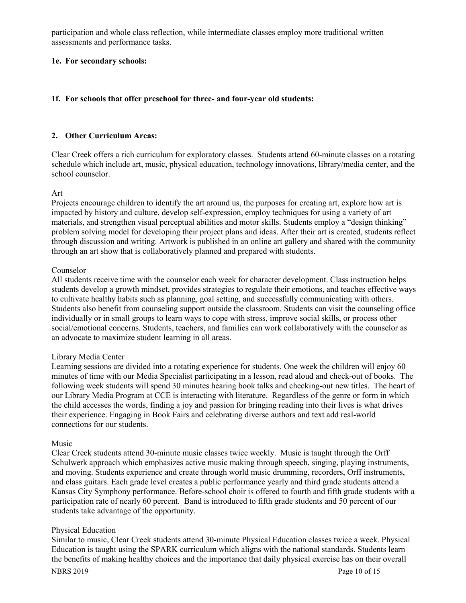participation and whole class reflection, while intermediate classes employ more traditional written assessments and performance tasks.

#### **1e. For secondary schools:**

#### **1f. For schools that offer preschool for three- and four-year old students:**

#### **2. Other Curriculum Areas:**

Clear Creek offers a rich curriculum for exploratory classes. Students attend 60-minute classes on a rotating schedule which include art, music, physical education, technology innovations, library/media center, and the school counselor.

#### Art

Projects encourage children to identify the art around us, the purposes for creating art, explore how art is impacted by history and culture, develop self-expression, employ techniques for using a variety of art materials, and strengthen visual perceptual abilities and motor skills. Students employ a "design thinking" problem solving model for developing their project plans and ideas. After their art is created, students reflect through discussion and writing. Artwork is published in an online art gallery and shared with the community through an art show that is collaboratively planned and prepared with students.

#### Counselor

All students receive time with the counselor each week for character development. Class instruction helps students develop a growth mindset, provides strategies to regulate their emotions, and teaches effective ways to cultivate healthy habits such as planning, goal setting, and successfully communicating with others. Students also benefit from counseling support outside the classroom. Students can visit the counseling office individually or in small groups to learn ways to cope with stress, improve social skills, or process other social/emotional concerns. Students, teachers, and families can work collaboratively with the counselor as an advocate to maximize student learning in all areas.

#### Library Media Center

Learning sessions are divided into a rotating experience for students. One week the children will enjoy 60 minutes of time with our Media Specialist participating in a lesson, read aloud and check-out of books. The following week students will spend 30 minutes hearing book talks and checking-out new titles. The heart of our Library Media Program at CCE is interacting with literature. Regardless of the genre or form in which the child accesses the words, finding a joy and passion for bringing reading into their lives is what drives their experience. Engaging in Book Fairs and celebrating diverse authors and text add real-world connections for our students.

#### Music

Clear Creek students attend 30-minute music classes twice weekly. Music is taught through the Orff Schulwerk approach which emphasizes active music making through speech, singing, playing instruments, and moving. Students experience and create through world music drumming, recorders, Orff instruments, and class guitars. Each grade level creates a public performance yearly and third grade students attend a Kansas City Symphony performance. Before-school choir is offered to fourth and fifth grade students with a participation rate of nearly 60 percent. Band is introduced to fifth grade students and 50 percent of our students take advantage of the opportunity.

#### Physical Education

Similar to music, Clear Creek students attend 30-minute Physical Education classes twice a week. Physical Education is taught using the SPARK curriculum which aligns with the national standards. Students learn the benefits of making healthy choices and the importance that daily physical exercise has on their overall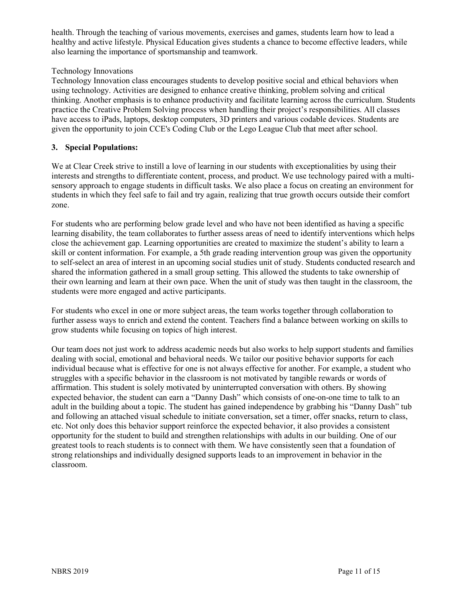health. Through the teaching of various movements, exercises and games, students learn how to lead a healthy and active lifestyle. Physical Education gives students a chance to become effective leaders, while also learning the importance of sportsmanship and teamwork.

#### Technology Innovations

Technology Innovation class encourages students to develop positive social and ethical behaviors when using technology. Activities are designed to enhance creative thinking, problem solving and critical thinking. Another emphasis is to enhance productivity and facilitate learning across the curriculum. Students practice the Creative Problem Solving process when handling their project's responsibilities. All classes have access to iPads, laptops, desktop computers, 3D printers and various codable devices. Students are given the opportunity to join CCE's Coding Club or the Lego League Club that meet after school.

#### **3. Special Populations:**

We at Clear Creek strive to instill a love of learning in our students with exceptionalities by using their interests and strengths to differentiate content, process, and product. We use technology paired with a multisensory approach to engage students in difficult tasks. We also place a focus on creating an environment for students in which they feel safe to fail and try again, realizing that true growth occurs outside their comfort zone.

For students who are performing below grade level and who have not been identified as having a specific learning disability, the team collaborates to further assess areas of need to identify interventions which helps close the achievement gap. Learning opportunities are created to maximize the student's ability to learn a skill or content information. For example, a 5th grade reading intervention group was given the opportunity to self-select an area of interest in an upcoming social studies unit of study. Students conducted research and shared the information gathered in a small group setting. This allowed the students to take ownership of their own learning and learn at their own pace. When the unit of study was then taught in the classroom, the students were more engaged and active participants.

For students who excel in one or more subject areas, the team works together through collaboration to further assess ways to enrich and extend the content. Teachers find a balance between working on skills to grow students while focusing on topics of high interest.

Our team does not just work to address academic needs but also works to help support students and families dealing with social, emotional and behavioral needs. We tailor our positive behavior supports for each individual because what is effective for one is not always effective for another. For example, a student who struggles with a specific behavior in the classroom is not motivated by tangible rewards or words of affirmation. This student is solely motivated by uninterrupted conversation with others. By showing expected behavior, the student can earn a "Danny Dash" which consists of one-on-one time to talk to an adult in the building about a topic. The student has gained independence by grabbing his "Danny Dash" tub and following an attached visual schedule to initiate conversation, set a timer, offer snacks, return to class, etc. Not only does this behavior support reinforce the expected behavior, it also provides a consistent opportunity for the student to build and strengthen relationships with adults in our building. One of our greatest tools to reach students is to connect with them. We have consistently seen that a foundation of strong relationships and individually designed supports leads to an improvement in behavior in the classroom.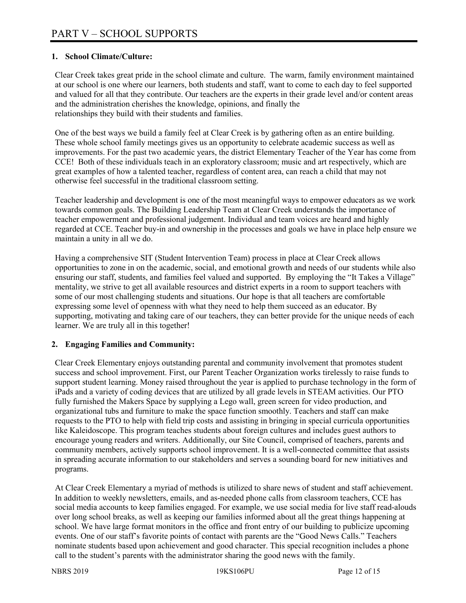#### **1. School Climate/Culture:**

Clear Creek takes great pride in the school climate and culture. The warm, family environment maintained at our school is one where our learners, both students and staff, want to come to each day to feel supported and valued for all that they contribute. Our teachers are the experts in their grade level and/or content areas and the administration cherishes the knowledge, opinions, and finally the relationships they build with their students and families.

One of the best ways we build a family feel at Clear Creek is by gathering often as an entire building. These whole school family meetings gives us an opportunity to celebrate academic success as well as improvements. For the past two academic years, the district Elementary Teacher of the Year has come from CCE! Both of these individuals teach in an exploratory classroom; music and art respectively, which are great examples of how a talented teacher, regardless of content area, can reach a child that may not otherwise feel successful in the traditional classroom setting.

Teacher leadership and development is one of the most meaningful ways to empower educators as we work towards common goals. The Building Leadership Team at Clear Creek understands the importance of teacher empowerment and professional judgement. Individual and team voices are heard and highly regarded at CCE. Teacher buy-in and ownership in the processes and goals we have in place help ensure we maintain a unity in all we do.

Having a comprehensive SIT (Student Intervention Team) process in place at Clear Creek allows opportunities to zone in on the academic, social, and emotional growth and needs of our students while also ensuring our staff, students, and families feel valued and supported. By employing the "It Takes a Village" mentality, we strive to get all available resources and district experts in a room to support teachers with some of our most challenging students and situations. Our hope is that all teachers are comfortable expressing some level of openness with what they need to help them succeed as an educator. By supporting, motivating and taking care of our teachers, they can better provide for the unique needs of each learner. We are truly all in this together!

#### **2. Engaging Families and Community:**

Clear Creek Elementary enjoys outstanding parental and community involvement that promotes student success and school improvement. First, our Parent Teacher Organization works tirelessly to raise funds to support student learning. Money raised throughout the year is applied to purchase technology in the form of iPads and a variety of coding devices that are utilized by all grade levels in STEAM activities. Our PTO fully furnished the Makers Space by supplying a Lego wall, green screen for video production, and organizational tubs and furniture to make the space function smoothly. Teachers and staff can make requests to the PTO to help with field trip costs and assisting in bringing in special curricula opportunities like Kaleidoscope. This program teaches students about foreign cultures and includes guest authors to encourage young readers and writers. Additionally, our Site Council, comprised of teachers, parents and community members, actively supports school improvement. It is a well-connected committee that assists in spreading accurate information to our stakeholders and serves a sounding board for new initiatives and programs.

At Clear Creek Elementary a myriad of methods is utilized to share news of student and staff achievement. In addition to weekly newsletters, emails, and as-needed phone calls from classroom teachers, CCE has social media accounts to keep families engaged. For example, we use social media for live staff read-alouds over long school breaks, as well as keeping our families informed about all the great things happening at school. We have large format monitors in the office and front entry of our building to publicize upcoming events. One of our staff's favorite points of contact with parents are the "Good News Calls." Teachers nominate students based upon achievement and good character. This special recognition includes a phone call to the student's parents with the administrator sharing the good news with the family.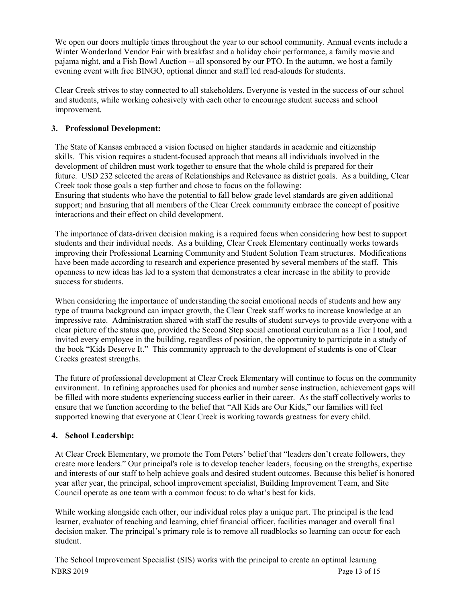We open our doors multiple times throughout the year to our school community. Annual events include a Winter Wonderland Vendor Fair with breakfast and a holiday choir performance, a family movie and pajama night, and a Fish Bowl Auction -- all sponsored by our PTO. In the autumn, we host a family evening event with free BINGO, optional dinner and staff led read-alouds for students.

Clear Creek strives to stay connected to all stakeholders. Everyone is vested in the success of our school and students, while working cohesively with each other to encourage student success and school improvement.

#### **3. Professional Development:**

The State of Kansas embraced a vision focused on higher standards in academic and citizenship skills. This vision requires a student-focused approach that means all individuals involved in the development of children must work together to ensure that the whole child is prepared for their future. USD 232 selected the areas of Relationships and Relevance as district goals. As a building, Clear Creek took those goals a step further and chose to focus on the following: Ensuring that students who have the potential to fall below grade level standards are given additional support; and Ensuring that all members of the Clear Creek community embrace the concept of positive interactions and their effect on child development.

The importance of data-driven decision making is a required focus when considering how best to support students and their individual needs. As a building, Clear Creek Elementary continually works towards improving their Professional Learning Community and Student Solution Team structures. Modifications have been made according to research and experience presented by several members of the staff. This openness to new ideas has led to a system that demonstrates a clear increase in the ability to provide success for students.

When considering the importance of understanding the social emotional needs of students and how any type of trauma background can impact growth, the Clear Creek staff works to increase knowledge at an impressive rate. Administration shared with staff the results of student surveys to provide everyone with a clear picture of the status quo, provided the Second Step social emotional curriculum as a Tier I tool, and invited every employee in the building, regardless of position, the opportunity to participate in a study of the book "Kids Deserve It." This community approach to the development of students is one of Clear Creeks greatest strengths.

The future of professional development at Clear Creek Elementary will continue to focus on the community environment. In refining approaches used for phonics and number sense instruction, achievement gaps will be filled with more students experiencing success earlier in their career. As the staff collectively works to ensure that we function according to the belief that "All Kids are Our Kids," our families will feel supported knowing that everyone at Clear Creek is working towards greatness for every child.

#### **4. School Leadership:**

At Clear Creek Elementary, we promote the Tom Peters' belief that "leaders don't create followers, they create more leaders." Our principal's role is to develop teacher leaders, focusing on the strengths, expertise and interests of our staff to help achieve goals and desired student outcomes. Because this belief is honored year after year, the principal, school improvement specialist, Building Improvement Team, and Site Council operate as one team with a common focus: to do what's best for kids.

While working alongside each other, our individual roles play a unique part. The principal is the lead learner, evaluator of teaching and learning, chief financial officer, facilities manager and overall final decision maker. The principal's primary role is to remove all roadblocks so learning can occur for each student.

NBRS 2019 Page 13 of 15 The School Improvement Specialist (SIS) works with the principal to create an optimal learning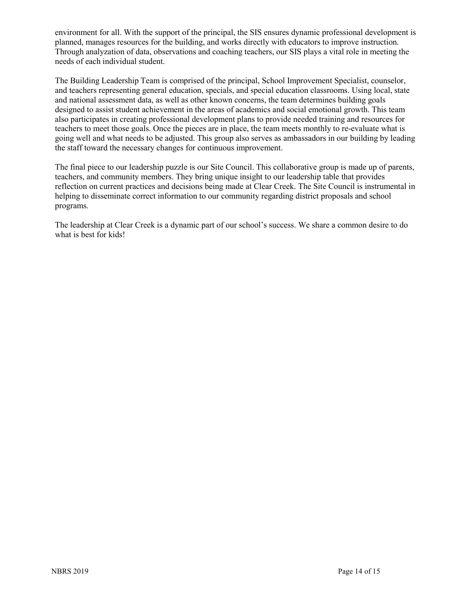environment for all. With the support of the principal, the SIS ensures dynamic professional development is planned, manages resources for the building, and works directly with educators to improve instruction. Through analyzation of data, observations and coaching teachers, our SIS plays a vital role in meeting the needs of each individual student.

The Building Leadership Team is comprised of the principal, School Improvement Specialist, counselor, and teachers representing general education, specials, and special education classrooms. Using local, state and national assessment data, as well as other known concerns, the team determines building goals designed to assist student achievement in the areas of academics and social emotional growth. This team also participates in creating professional development plans to provide needed training and resources for teachers to meet those goals. Once the pieces are in place, the team meets monthly to re-evaluate what is going well and what needs to be adjusted. This group also serves as ambassadors in our building by leading the staff toward the necessary changes for continuous improvement.

The final piece to our leadership puzzle is our Site Council. This collaborative group is made up of parents, teachers, and community members. They bring unique insight to our leadership table that provides reflection on current practices and decisions being made at Clear Creek. The Site Council is instrumental in helping to disseminate correct information to our community regarding district proposals and school programs.

The leadership at Clear Creek is a dynamic part of our school's success. We share a common desire to do what is best for kids!